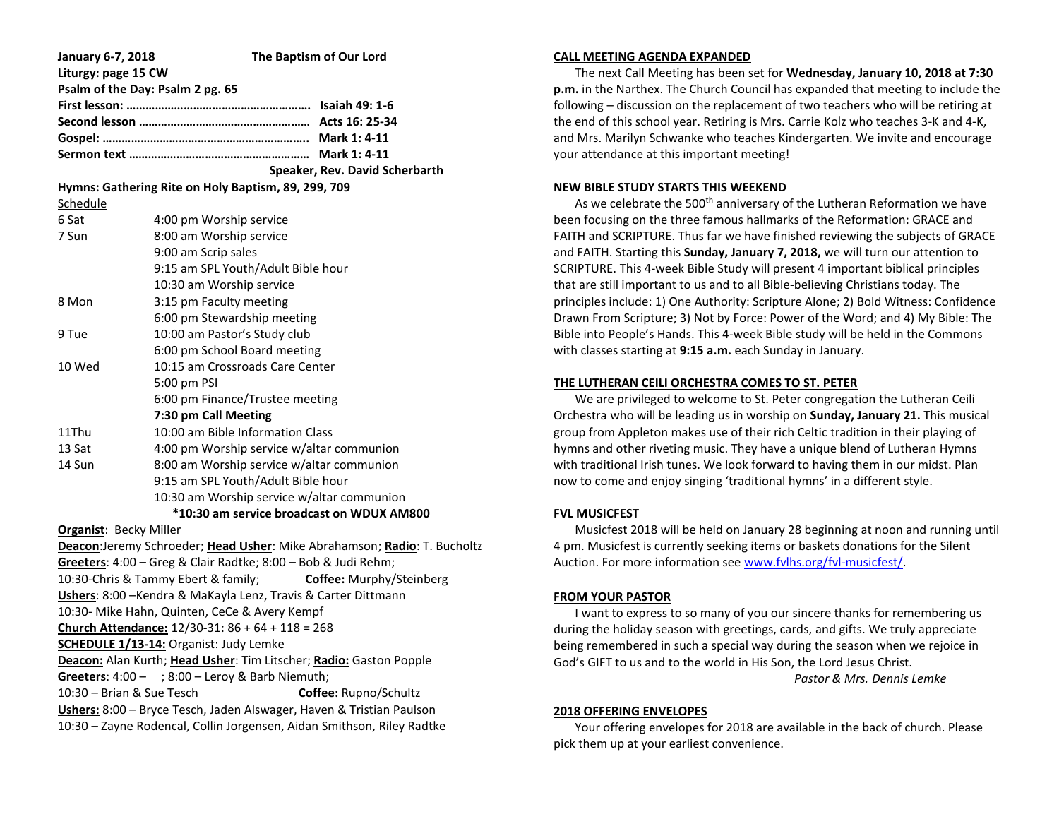| January 6-7, 2018                                                  | The Baptism of Our Lord                                                  |
|--------------------------------------------------------------------|--------------------------------------------------------------------------|
| Liturgy: page 15 CW                                                |                                                                          |
| Psalm of the Day: Psalm 2 pg. 65                                   |                                                                          |
|                                                                    |                                                                          |
|                                                                    |                                                                          |
|                                                                    |                                                                          |
|                                                                    |                                                                          |
|                                                                    | Speaker, Rev. David Scherbarth                                           |
| Hymns: Gathering Rite on Holy Baptism, 89, 299, 709                |                                                                          |
| Schedule                                                           |                                                                          |
| 6 Sat                                                              | 4:00 pm Worship service                                                  |
| 7 Sun                                                              | 8:00 am Worship service                                                  |
|                                                                    | 9:00 am Scrip sales                                                      |
|                                                                    | 9:15 am SPL Youth/Adult Bible hour                                       |
|                                                                    | 10:30 am Worship service                                                 |
| 8 Mon                                                              | 3:15 pm Faculty meeting                                                  |
|                                                                    | 6:00 pm Stewardship meeting                                              |
| 9 Tue                                                              | 10:00 am Pastor's Study club                                             |
|                                                                    | 6:00 pm School Board meeting                                             |
| 10 Wed                                                             | 10:15 am Crossroads Care Center                                          |
|                                                                    | 5:00 pm PSI                                                              |
|                                                                    | 6:00 pm Finance/Trustee meeting                                          |
|                                                                    | 7:30 pm Call Meeting                                                     |
| 11Thu                                                              | 10:00 am Bible Information Class                                         |
| 13 Sat                                                             | 4:00 pm Worship service w/altar communion                                |
| 14 Sun                                                             | 8:00 am Worship service w/altar communion                                |
|                                                                    | 9:15 am SPL Youth/Adult Bible hour                                       |
|                                                                    | 10:30 am Worship service w/altar communion                               |
| *10:30 am service broadcast on WDUX AM800                          |                                                                          |
| <b>Organist: Becky Miller</b>                                      |                                                                          |
|                                                                    | Deacon:Jeremy Schroeder; Head Usher: Mike Abrahamson; Radio: T. Bucholtz |
|                                                                    | Greeters: 4:00 - Greg & Clair Radtke; 8:00 - Bob & Judi Rehm;            |
|                                                                    | 10:30-Chris & Tammy Ebert & family;<br>Coffee: Murphy/Steinberg          |
| Ushers: 8:00 - Kendra & MaKayla Lenz, Travis & Carter Dittmann     |                                                                          |
| 10:30- Mike Hahn, Quinten, CeCe & Avery Kempf                      |                                                                          |
| Church Attendance: $12/30-31:86 + 64 + 118 = 268$                  |                                                                          |
| <b>SCHEDULE 1/13-14: Organist: Judy Lemke</b>                      |                                                                          |
| Deacon: Alan Kurth; Head Usher: Tim Litscher; Radio: Gaston Popple |                                                                          |
| Greeters: $4:00 - 3:00 -$ Leroy & Barb Niemuth;                    |                                                                          |

10:30 – Brian & Sue Tesch **Coffee:** Rupno/Schultz **Ushers:** 8:00 – Bryce Tesch, Jaden Alswager, Haven & Tristian Paulson 10:30 – Zayne Rodencal, Collin Jorgensen, Aidan Smithson, Riley Radtke

### **CALL MEETING AGENDA EXPANDED**

 The next Call Meeting has been set for **Wednesday, January 10, 2018 at 7:30 p.m.** in the Narthex. The Church Council has expanded that meeting to include the following – discussion on the replacement of two teachers who will be retiring at the end of this school year. Retiring is Mrs. Carrie Kolz who teaches 3-K and 4-K, and Mrs. Marilyn Schwanke who teaches Kindergarten. We invite and encourage your attendance at this important meeting!

### **NEW BIBLE STUDY STARTS THIS WEEKEND**

As we celebrate the 500<sup>th</sup> anniversary of the Lutheran Reformation we have been focusing on the three famous hallmarks of the Reformation: GRACE and FAITH and SCRIPTURE. Thus far we have finished reviewing the subjects of GRACE and FAITH. Starting this **Sunday, January 7, 2018,** we will turn our attention to SCRIPTURE. This 4-week Bible Study will present 4 important biblical principles that are still important to us and to all Bible-believing Christians today. The principles include: 1) One Authority: Scripture Alone; 2) Bold Witness: Confidence Drawn From Scripture; 3) Not by Force: Power of the Word; and 4) My Bible: The Bible into People's Hands. This 4-week Bible study will be held in the Commons with classes starting at **9:15 a.m.** each Sunday in January.

### **THE LUTHERAN CEILI ORCHESTRA COMES TO ST. PETER**

 We are privileged to welcome to St. Peter congregation the Lutheran Ceili Orchestra who will be leading us in worship on **Sunday, January 21.** This musical group from Appleton makes use of their rich Celtic tradition in their playing of hymns and other riveting music. They have a unique blend of Lutheran Hymns with traditional Irish tunes. We look forward to having them in our midst. Plan now to come and enjoy singing 'traditional hymns' in a different style.

# **FVL MUSICFEST**

 Musicfest 2018 will be held on January 28 beginning at noon and running until 4 pm. Musicfest is currently seeking items or baskets donations for the Silent Auction. For more information se[e www.fvlhs.org/fvl-musicfest/.](http://www.fvlhs.org/fvl-musicfest/)

# **FROM YOUR PASTOR**

 I want to express to so many of you our sincere thanks for remembering us during the holiday season with greetings, cards, and gifts. We truly appreciate being remembered in such a special way during the season when we rejoice in God's GIFT to us and to the world in His Son, the Lord Jesus Christ. *Pastor & Mrs. Dennis Lemke*

### **2018 OFFERING ENVELOPES**

 Your offering envelopes for 2018 are available in the back of church. Please pick them up at your earliest convenience.